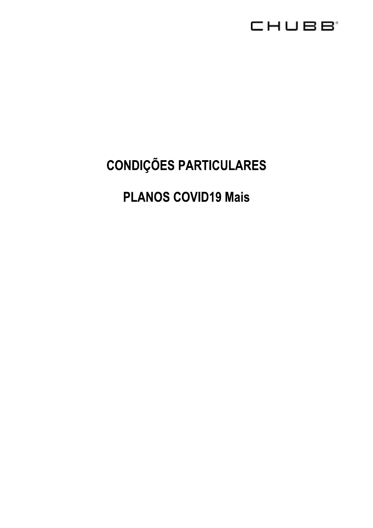

# **CONDIÇÕES PARTICULARES**

# **PLANOS COVID19 Mais**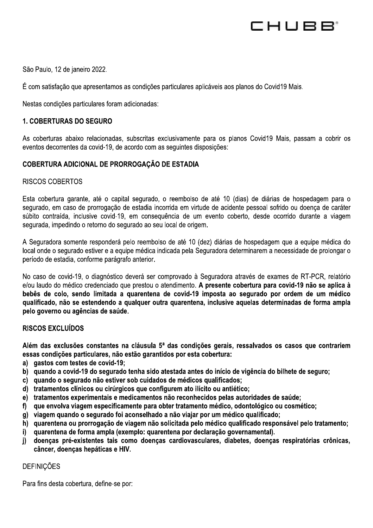

 $\mathbb{R}^2$ São Paulo, 12 de janeiro 2022.

 $\mathbf{r}$ E com satisfação que apresentamos as condições partículares aplicaveis aos planos do Covid 19 Mais.

São Paulo, 12 de janeiro 2022.<br>
É com satisfação que apresentamos as condições particulares foram adicionadas:<br> **1. COBERTURAS DO SEGURO**<br>
As coberturas abaixo relacionadas, subscritas exeventos decorrentes da covid-19, de As coberturas abaixo relacionadas, subscritas exclusivamente para os pianos Covid19 Mais, passam a cobrir os eventos decorrentes da covid-19, de acordo com as seguintes disposições:

#### $\ddot{\phantom{a}}$ COBERTURA ADICIONAL DE PRORROGAÇÃO DE ESTADIA

# RISCOS COBERTOS

Esta cobertura garante, até o capital segurado, o reembolso de até 10 (días) de diarias de hospedagem para o segurado, em caso de prorrogação de estadía incorrida em virtude de acidente pessoal sofrido ou doença de carater subito contraída, inclusive covid-19, em consequencia de um evento coberto, desde ocorrido durante a viagem segurada, impedindo o retorno do segurado ao seu local de origem.

 $\frac{1}{2}$ A Seguradora somente respondera pelo reembolso de até 10 (dez) diarias de nospedagem que a equipe medica do local onde o segurado estiver e a equipe medica indicada pela Seguradora determinarem a necessidade de prolongar o período de estadía, conforme paragrafo anterior.

li.<br>Li No caso de covid-19, o diagnostico devera ser comprovado a Seguradora atraves de exames de RT-PCR, relatorio e/ou laudo do médico credenciado que prestou o atendimento. A presente cobertura para covid-19 não se aplica à bebês de colo, sendo limitada a quarentena de covid-19 imposta ao segurado por ordem de um médico<br>qualificado, não se estendendo a qualquer outra quarentena, inclusive aquelas determinadas de forma ampla A Seguradora somente responderá pelo reembolso de até 10 (dez) diárias de hospedagem que a equipe médica do<br>local onde o segurado estiver e a equipe médica indicada pela Seguradora determinarem a necessidade de prolongar o

#### RISCOS EXCLUÍDOS

Além das exclusões constantes na cláusula  $5^a$  das condições gerais, ressalvados os casos que contrariem essas condições particulares, não estão garantidos por esta cobertura:

- a) qastos com testes de covid-19;
- b) quando a covid-19 do segurado tenha sido atestada antes do início de vigência do bilhete de seguro;
- c) quando o segurado não estiver sob cuidados de médicos qualificados;
- d) tratamentos clínicos ou cirúrgicos que configurem ato ilícito ou antiético;
- e) tratamentos experimentais e medicamentos não reconhecidos pelas autoridades de saúde;<br>f) que envolva viagem especificamente para obter tratamento médico, odontológico ou cosmé
- gue envolva viagem especificamente para obter tratamento médico, odontológico ou cosmético;
- 
- g) viagem quando o segurado foi aconselhado a não viajar por um médico qualificado;<br>h) quarentena ou prorrogação de viagem não solicitada pelo médico qualificado responsável pelo tratamento;
- 
- a) gastos com testes de covid-19;<br>b) quando a covid-19 do segurado tenha sido atestada antes do início de vigência do bilhete de seguro;<br>c) quando o segurado não estiver sob cuidados de médicos qualificados;<br>c) quando o se

# **DEFINICÕES**

Para fins desta cobertura, define-se por: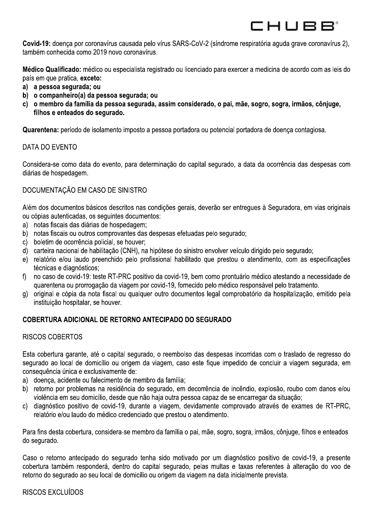CHUBB'

Covid-19: doenca por coronavírus causada pelo vírus SARS-CoV-2 (síndrome respiratória aguda grave coronavírus 2), também conhecida como 2019 novo coronavírus.

Médico Qualificado: médico ou especialista registrado ou licenciado para exercer a medicina de acordo com as leis do país em que pratica, exceto:

- a) a pessoa segurada; ou
- b) o companheiro(a) da pessoa segurada; ou
- c) o membro da família da pessoa segurada, assim considerado, o pai, mãe, sogro, sogra, irmãos, côniuge, filhos e enteados do segurado.

Quarentena: período de isolamento imposto a pessoa portadora ou potencial portadora de doenca contagiosa.

# DATA DO EVENTO

Considera-se como data do evento, para determinação do capital segurado, a data da ocorrência das despesas com diárias de hospedagem.

# DOCUMENTAÇÃO EM CASO DE SINISTRO

Além dos documentos básicos descritos nas condições gerais, deverão ser entregues à Seguradora, em vias originais ou cópias autenticadas, os seguintes documentos:

- a) notas fiscais das diárias de hospedagem:
- b) notas fiscais ou outros comprovantes das despesas efetuadas pelo segurado;
- c) boletim de ocorrência policial, se houver;
- d) carteira nacional de habilitação (CNH), na hipótese do sinistro envolver veículo dirigido pelo segurado;
- e) relatório e/ou laudo preenchido pelo profissional habilitado que prestou o atendimento, com as especificações técnicas e diagnósticos;
- no caso de covid-19: teste RT-PRC positivo da covid-19, bem como prontuário médico atestando a necessidade de  $\mathsf{f}$ guarentena ou prorrogação da viagem por covid-19, fornecido pelo médico responsável pelo tratamento.
- original e cópia da nota fiscal ou qualquer outro documentos legal comprobatório da hospitalização, emitido pela g) instituição hospitalar, se houver.

# COBERTURA ADICIONAL DE RETORNO ANTECIPADO DO SEGURADO

# **RISCOS COBERTOS**

Esta cobertura garante, até o capital segurado, o reembolso das despesas incorridas com o traslado de regresso do segurado ao local de domicílio ou origem da viagem, caso este figue impedido de concluir a viagem segurada, em consequência única e exclusivamente de:

- a) doença, acidente ou falecimento de membro da família;
- b) retorno por problemas na residência do segurado, em decorrência de incêndio, explosão, roubo com danos e/ou violência em seu domicílio, desde que não haja outra pessoa capaz de se encarregar da situação;
- diagnóstico positivo de covid-19, durante a viagem, devidamente comprovado através de exames de RT-PRC,  $C$ relatório e/ou laudo do médico credenciado que prestou o atendimento.

Para fins desta cobertura, considera-se membro da família o pai, mãe, sogro, sogra, irmãos, côniuge, filhos e enteados do segurado.

Caso o retorno antecipado do segurado tenha sido motivado por um diagnóstico positivo de covid-19, a presente cobertura também responderá, dentro do capital segurado, pelas multas e taxas referentes à alteração do voo de retorno do segurado ao seu local de domicílio ou origem da viagem na data inicialmente prevista.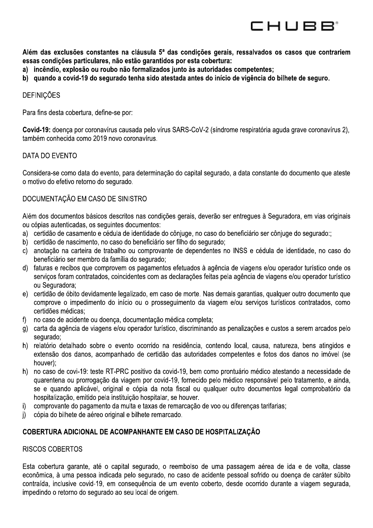

Além das exclusões constantes na cláusula 5<sup>ª</sup> das condições gerais, ressalvados os casos que contrariem essas condições particulares, não estão garantidos por esta cobertura:

- a) incêndio, explosão ou roubo não formalizados junto às autoridades competentes;
- b) quando a covid-19 do segurado tenha sido atestada antes do início de vigência do bilhete de seguro.

#### **DEFINICÕES**

Para fins desta cobertura, define-se por:

Covid-19: doenca por coronavírus causada pelo vírus SARS-CoV-2 (síndrome respiratória aguda grave coronavírus 2). também conhecida como 2019 novo coronavírus.

#### DATA DO EVENTO

Considera-se como data do evento, para determinação do capital segurado, a data constante do documento que ateste o motivo do efetivo retorno do segurado.

#### DOCUMENTAÇÃO EM CASO DE SINISTRO

Além dos documentos básicos descritos nas condições gerais, deverão ser entregues à Seguradora, em vias originais ou cópias autenticadas, os seguintes documentos:

- a) certidão de casamento e cédula de identidade do côniuge, no caso do beneficiário ser côniuge do segurado:;
- b) certidão de nascimento, no caso do beneficiário ser filho do segurado;
- c) anotação na carteira de trabalho ou comprovante de dependentes no INSS e cédula de identidade, no caso do beneficiário ser membro da família do segurado;
- d) faturas e recibos que comprovem os pagamentos efetuados à agência de viagens e/ou operador turístico onde os serviços foram contratados, coincidentes com as declarações feitas pela agência de viagens e/ou operador turístico ou Seguradora:
- e) certidão de óbito devidamente legalizado, em caso de morte. Nas demais garantias, gualquer outro documento que comprove o impedimento do início ou o prosseguimento da viagem e/ou serviços turísticos contratados, como certidões médicas;
- no caso de acidente ou doença, documentação médica completa; f)
- g) carta da agência de viagens e/ou operador turístico, discriminando as penalizações e custos a serem arcados pelo sequrado;
- h) relatório detalhado sobre o evento ocorrido na residência, contendo local, causa, natureza, bens atingidos e extensão dos danos, acompanhado de certidão das autoridades competentes e fotos dos danos no imóvel (se houver):
- h) no caso de covi-19: teste RT-PRC positivo da covid-19, bem como prontuário médico atestando a necessidade de guarentena ou prorrogação da viagem por covid-19, fornecido pelo médico responsável pelo tratamento, e ainda, se e quando aplicável, original e cópia da nota fiscal ou qualquer outro documentos legal comprobatório da hospitalização, emitido pela instituição hospitalar, se houver.
- comprovante do pagamento da multa e taxas de remarcação de voo ou diferenças tarifarias; j)
- $\mathsf{i}$ cópia do bilhete de aéreo original e bilhete remarcado.

#### COBERTURA ADICIONAL DE ACOMPANHANTE EM CASO DE HOSPITALIZAÇÃO

#### **RISCOS COBERTOS**

Esta cobertura garante, até o capital segurado, o reembolso de uma passagem aérea de ida e de volta, classe econômica, à uma pessoa indicada pelo segurado, no caso de acidente pessoal sofrido ou doença de caráter súbito contraída, inclusive covid-19, em consequência de um evento coberto, desde ocorrido durante a viagem segurada, impedindo o retorno do segurado ao seu local de origem.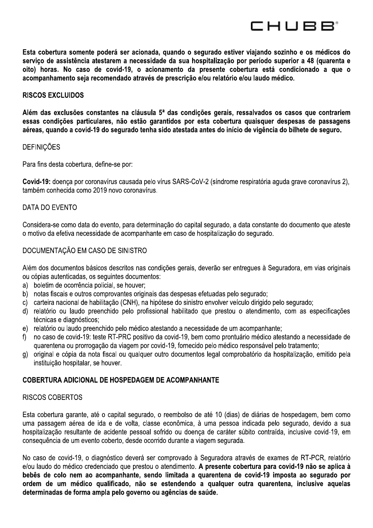Esta cobertura somente poderá ser acionada, quando o segurado estiver viajando sozinho e os médicos do serviço de assistência atestarem a necessidade da sua hospitalização por período superior a 48 (quarenta e oito) horas. No caso de covid-19, o acionamento da presente cobertura está condicionado a que o acompanhamento seja recomendado através de prescrição e/ou relatório e/ou laudo médico.

CHUBB'

#### **RISCOS EXCLUIDOS**

Além das exclusões constantes na cláusula 5<sup>ª</sup> das condições gerais, ressalvados os casos que contrariem essas condições particulares, não estão garantidos por esta cobertura quaisquer despesas de passagens aéreas, quando a covid-19 do segurado tenha sido atestada antes do início de vigência do bilhete de seguro.

#### **DEFINIÇÕES**

Para fins desta cobertura, define-se por:

Covid-19: doença por coronavírus causada pelo vírus SARS-CoV-2 (síndrome respiratória aguda grave coronavírus 2), também conhecida como 2019 novo coronavírus.

#### DATA DO EVENTO

Considera-se como data do evento, para determinação do capital segurado, a data constante do documento que ateste o motivo da efetiva necessidade de acompanhante em caso de hospitalização do segurado.

### DOCUMENTAÇÃO EM CASO DE SINISTRO

Além dos documentos básicos descritos nas condições gerais, deverão ser entregues à Seguradora, em vias originais ou cópias autenticadas, os seguintes documentos:

- a) boletim de ocorrência policial, se houver:
- b) notas fiscais e outros comprovantes originais das despesas efetuadas pelo segurado;
- c) carteira nacional de habilitação (CNH), na hipótese do sinistro envolver veículo dirigido pelo segurado;
- d) relatório ou laudo preenchido pelo profissional habilitado que prestou o atendimento, com as especificações técnicas e diagnósticos:
- e) relatório ou laudo preenchido pelo médico atestando a necessidade de um acompanhante;
- no caso de covid-19: teste RT-PRC positivo da covid-19, bem como prontuário médico atestando a necessidade de  $\mathsf{f}$ quarentena ou prorrogação da viagem por covid-19, fornecido pelo médico responsável pelo tratamento;
- g) original e cópia da nota fiscal ou qualquer outro documentos legal comprobatório da hospitalização, emitido pela instituição hospitalar, se houver.

#### **COBERTURA ADICIONAL DE HOSPEDAGEM DE ACOMPANHANTE**

#### **RISCOS COBERTOS**

Esta cobertura garante, até o capital segurado, o reembolso de até 10 (dias) de diárias de hospedagem, bem como uma passagem aérea de ida e de volta, classe econômica, à uma pessoa indicada pelo segurado, devido a sua hospitalização resultante de acidente pessoal sofrido ou doença de caráter súbito contraída, inclusive covid-19, em consequência de um evento coberto, desde ocorrido durante a viagem segurada.

No caso de covid-19, o diagnóstico deverá ser comprovado à Seguradora através de exames de RT-PCR, relatório e/ou laudo do médico credenciado que prestou o atendimento. A presente cobertura para covid-19 não se aplica à bebês de colo nem ao acompanhante, sendo limitada a quarentena de covid-19 imposta ao segurado por ordem de um médico qualificado, não se estendendo a qualquer outra quarentena, inclusive aquelas determinadas de forma ampla pelo governo ou agências de saúde.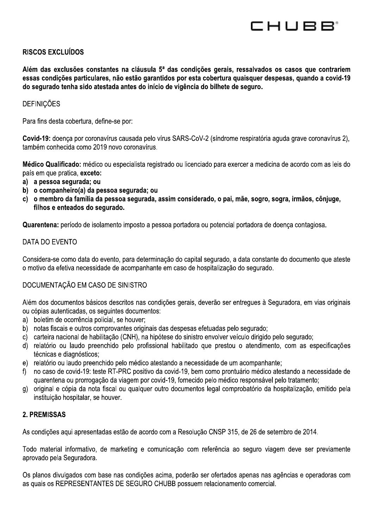CHUBB'

# **RISCOS EXCLUÍDOS**

Além das exclusões constantes na cláusula 5<sup>ª</sup> das condições gerais, ressalvados os casos que contrariem essas condições particulares, não estão garantidos por esta cobertura quaisquer despesas, quando a covid-19 do segurado tenha sido atestada antes do início de vigência do bilhete de seguro.

### **DEFINIÇÕES**

Para fins desta cobertura, define-se por:

Covid-19: doença por coronavírus causada pelo vírus SARS-CoV-2 (síndrome respiratória aguda grave coronavírus 2), também conhecida como 2019 novo coronavírus.

Médico Qualificado: médico ou especialista registrado ou licenciado para exercer a medicina de acordo com as leis do país em que pratica, exceto:

- a) a pessoa segurada; ou
- b) o companheiro(a) da pessoa segurada; ou
- c) o membro da família da pessoa segurada, assim considerado, o pai, mãe, sogro, sogra, irmãos, côniuge, filhos e enteados do segurado.

Quarentena: período de isolamento imposto a pessoa portadora ou potencial portadora de doenca contagiosa.

#### DATA DO EVENTO

Considera-se como data do evento, para determinação do capital segurado, a data constante do documento que ateste o motivo da efetiva necessidade de acompanhante em caso de hospitalização do segurado.

### DOCUMENTAÇÃO EM CASO DE SINISTRO

Além dos documentos básicos descritos nas condições gerais, deverão ser entregues à Seguradora, em vias originais ou cópias autenticadas, os seguintes documentos:

- a) boletim de ocorrência policial, se houver;
- b) notas fiscais e outros comprovantes originais das despesas efetuadas pelo segurado;
- c) carteira nacional de habilitação (CNH), na hipótese do sinistro envolver veículo dirigido pelo segurado;
- d) relatório ou laudo preenchido pelo profissional habilitado que prestou o atendimento, com as especificações técnicas e diagnósticos:
- e) relatório ou laudo preenchido pelo médico atestando a necessidade de um acompanhante:
- no caso de covid-19: teste RT-PRC positivo da covid-19, bem como prontuário médico atestando a necessidade de  $\mathsf{f}$ guarentena ou prorrogação da viagem por covid-19, fornecido pelo médico responsável pelo tratamento;
- g) original e cópia da nota fiscal ou gualguer outro documentos legal comprobatório da hospitalização, emitido pela instituição hospitalar, se houver.

#### **2. PREMISSAS**

As condições aqui apresentadas estão de acordo com a Resolução CNSP 315, de 26 de setembro de 2014.

Todo material informativo, de marketing e comunicação com referência ao seguro viagem deve ser previamente aprovado pela Seguradora.

Os planos divulgados com base nas condições acima, poderão ser ofertados apenas nas agências e operadoras com as quais os REPRESENTANTES DE SEGURO CHUBB possuem relacionamento comercial.